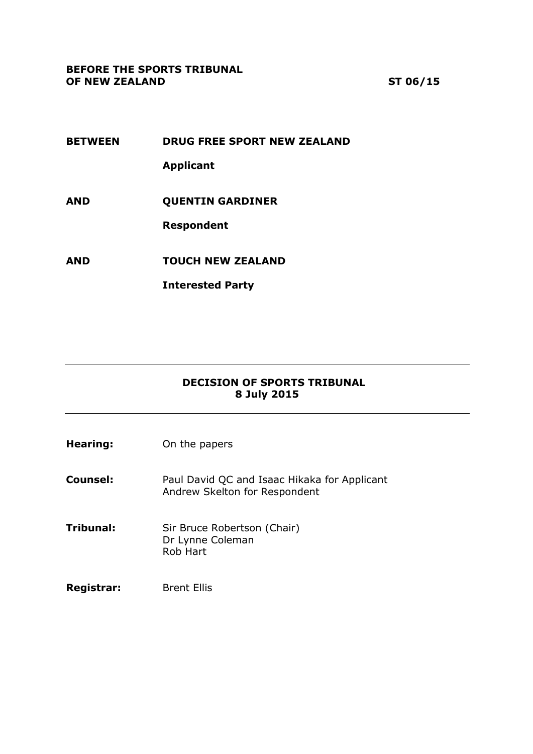#### **BEFORE THE SPORTS TRIBUNAL OF NEW ZEALAND ST 06/15**

- **BETWEEN DRUG FREE SPORT NEW ZEALAND Applicant AND QUENTIN GARDINER Respondent**
- **AND TOUCH NEW ZEALAND**

**Interested Party**

## **DECISION OF SPORTS TRIBUNAL 8 July 2015**

**Hearing:** On the papers

**Counsel:** Paul David QC and Isaac Hikaka for Applicant Andrew Skelton for Respondent

- **Tribunal:** Sir Bruce Robertson (Chair) Dr Lynne Coleman Rob Hart
- Registrar: Brent Ellis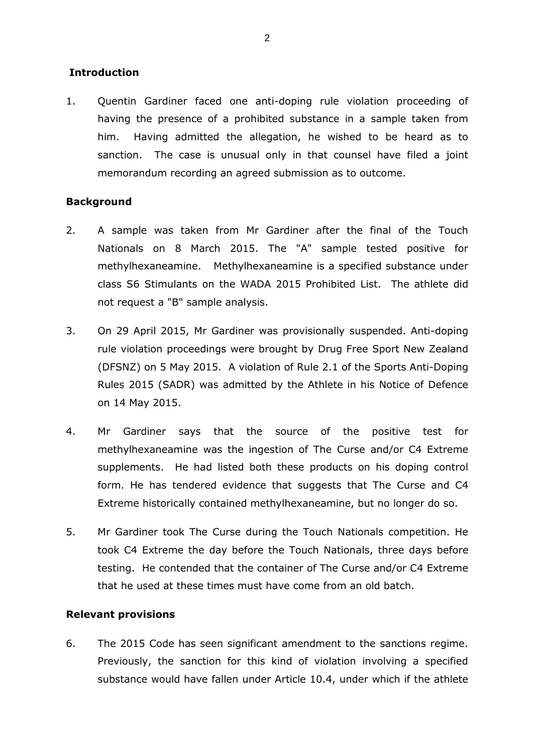#### **Introduction**

1. Quentin Gardiner faced one anti-doping rule violation proceeding of having the presence of a prohibited substance in a sample taken from him. Having admitted the allegation, he wished to be heard as to sanction. The case is unusual only in that counsel have filed a joint memorandum recording an agreed submission as to outcome.

### **Background**

- 2. A sample was taken from Mr Gardiner after the final of the Touch Nationals on 8 March 2015. The "A" sample tested positive for methylhexaneamine. Methylhexaneamine is a specified substance under class S6 Stimulants on the WADA 2015 Prohibited List. The athlete did not request a "B" sample analysis.
- 3. On 29 April 2015, Mr Gardiner was provisionally suspended. Anti-doping rule violation proceedings were brought by Drug Free Sport New Zealand (DFSNZ) on 5 May 2015. A violation of Rule 2.1 of the Sports Anti-Doping Rules 2015 (SADR) was admitted by the Athlete in his Notice of Defence on 14 May 2015.
- 4. Mr Gardiner says that the source of the positive test for methylhexaneamine was the ingestion of The Curse and/or C4 Extreme supplements. He had listed both these products on his doping control form. He has tendered evidence that suggests that The Curse and C4 Extreme historically contained methylhexaneamine, but no longer do so.
- 5. Mr Gardiner took The Curse during the Touch Nationals competition. He took C4 Extreme the day before the Touch Nationals, three days before testing. He contended that the container of The Curse and/or C4 Extreme that he used at these times must have come from an old batch.

#### **Relevant provisions**

6. The 2015 Code has seen significant amendment to the sanctions regime. Previously, the sanction for this kind of violation involving a specified substance would have fallen under Article 10.4, under which if the athlete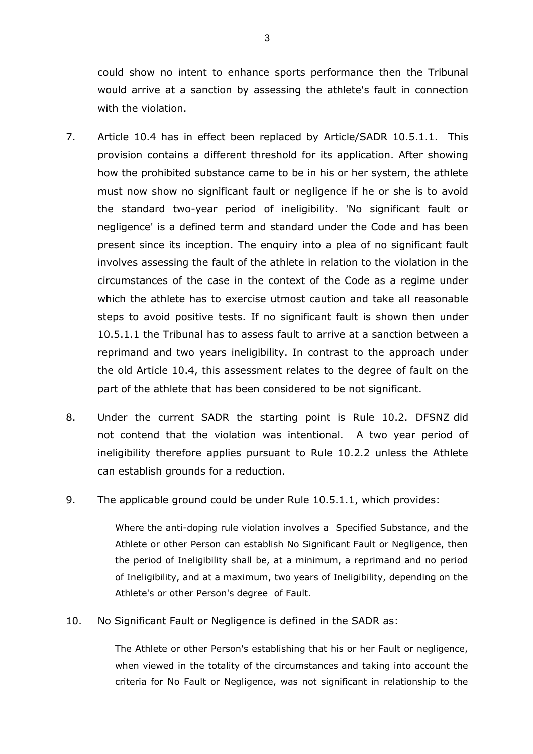could show no intent to enhance sports performance then the Tribunal would arrive at a sanction by assessing the athlete's fault in connection with the violation.

- 7. Article 10.4 has in effect been replaced by Article/SADR 10.5.1.1. This provision contains a different threshold for its application. After showing how the prohibited substance came to be in his or her system, the athlete must now show no significant fault or negligence if he or she is to avoid the standard two-year period of ineligibility. 'No significant fault or negligence' is a defined term and standard under the Code and has been present since its inception. The enquiry into a plea of no significant fault involves assessing the fault of the athlete in relation to the violation in the circumstances of the case in the context of the Code as a regime under which the athlete has to exercise utmost caution and take all reasonable steps to avoid positive tests. If no significant fault is shown then under 10.5.1.1 the Tribunal has to assess fault to arrive at a sanction between a reprimand and two years ineligibility. In contrast to the approach under the old Article 10.4, this assessment relates to the degree of fault on the part of the athlete that has been considered to be not significant.
- 8. Under the current SADR the starting point is Rule 10.2. DFSNZ did not contend that the violation was intentional. A two year period of ineligibility therefore applies pursuant to Rule 10.2.2 unless the Athlete can establish grounds for a reduction.
- 9. The applicable ground could be under Rule 10.5.1.1, which provides:

Where the anti-doping rule violation involves a Specified Substance, and the Athlete or other Person can establish No Significant Fault or Negligence, then the period of Ineligibility shall be, at a minimum, a reprimand and no period of Ineligibility, and at a maximum, two years of Ineligibility, depending on the Athlete's or other Person's degree of Fault.

10. No Significant Fault or Negligence is defined in the SADR as:

The Athlete or other Person's establishing that his or her Fault or negligence, when viewed in the totality of the circumstances and taking into account the criteria for No Fault or Negligence, was not significant in relationship to the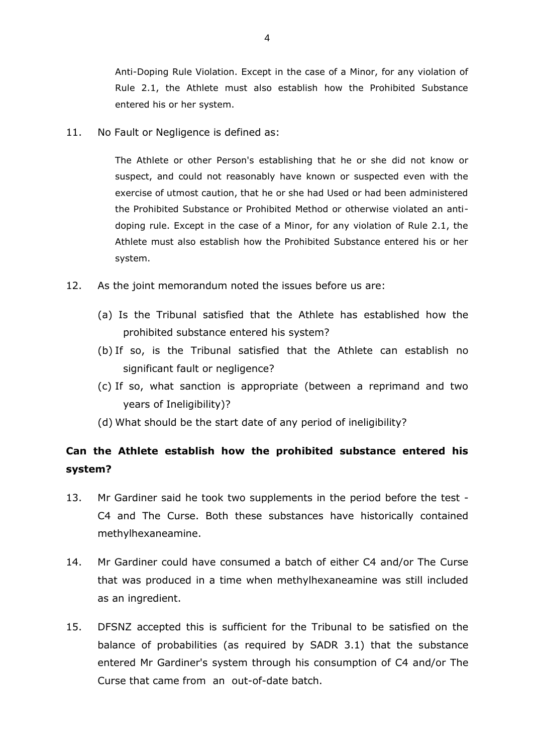Anti-Doping Rule Violation. Except in the case of a Minor, for any violation of Rule 2.1, the Athlete must also establish how the Prohibited Substance entered his or her system.

11. No Fault or Negligence is defined as:

The Athlete or other Person's establishing that he or she did not know or suspect, and could not reasonably have known or suspected even with the exercise of utmost caution, that he or she had Used or had been administered the Prohibited Substance or Prohibited Method or otherwise violated an antidoping rule. Except in the case of a Minor, for any violation of Rule 2.1, the Athlete must also establish how the Prohibited Substance entered his or her system.

- 12. As the joint memorandum noted the issues before us are:
	- (a) Is the Tribunal satisfied that the Athlete has established how the prohibited substance entered his system?
	- (b) If so, is the Tribunal satisfied that the Athlete can establish no significant fault or negligence?
	- (c) If so, what sanction is appropriate (between a reprimand and two years of Ineligibility)?
	- (d) What should be the start date of any period of ineligibility?

# **Can the Athlete establish how the prohibited substance entered his system?**

- 13. Mr Gardiner said he took two supplements in the period before the test C4 and The Curse. Both these substances have historically contained methylhexaneamine.
- 14. Mr Gardiner could have consumed a batch of either C4 and/or The Curse that was produced in a time when methylhexaneamine was still included as an ingredient.
- 15. DFSNZ accepted this is sufficient for the Tribunal to be satisfied on the balance of probabilities (as required by SADR 3.1) that the substance entered Mr Gardiner's system through his consumption of C4 and/or The Curse that came from an out-of-date batch.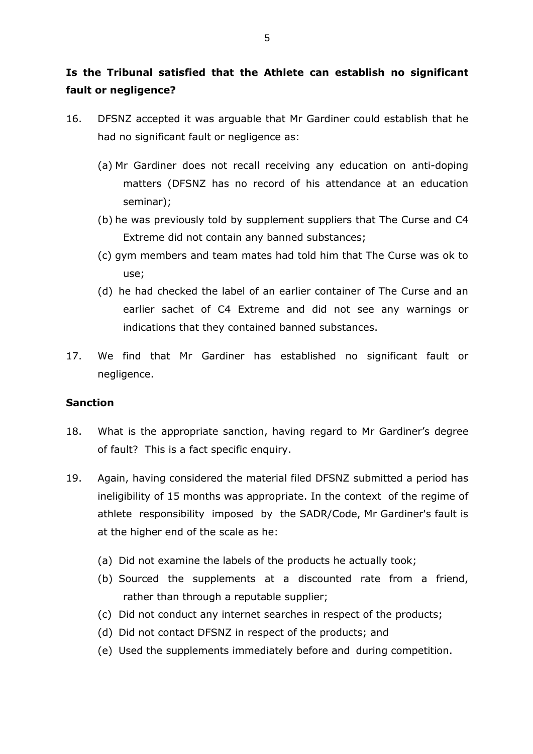# **Is the Tribunal satisfied that the Athlete can establish no significant fault or negligence?**

- 16. DFSNZ accepted it was arguable that Mr Gardiner could establish that he had no significant fault or negligence as:
	- (a) Mr Gardiner does not recall receiving any education on anti-doping matters (DFSNZ has no record of his attendance at an education seminar);
	- (b) he was previously told by supplement suppliers that The Curse and C4 Extreme did not contain any banned substances;
	- (c) gym members and team mates had told him that The Curse was ok to use;
	- (d) he had checked the label of an earlier container of The Curse and an earlier sachet of C4 Extreme and did not see any warnings or indications that they contained banned substances.
- 17. We find that Mr Gardiner has established no significant fault or negligence.

#### **Sanction**

- 18. What is the appropriate sanction, having regard to Mr Gardiner's degree of fault? This is a fact specific enquiry.
- 19. Again, having considered the material filed DFSNZ submitted a period has ineligibility of 15 months was appropriate. In the context of the regime of athlete responsibility imposed by the SADR/Code, Mr Gardiner's fault is at the higher end of the scale as he:
	- (a) Did not examine the labels of the products he actually took;
	- (b) Sourced the supplements at a discounted rate from a friend, rather than through a reputable supplier;
	- (c) Did not conduct any internet searches in respect of the products;
	- (d) Did not contact DFSNZ in respect of the products; and
	- (e) Used the supplements immediately before and during competition.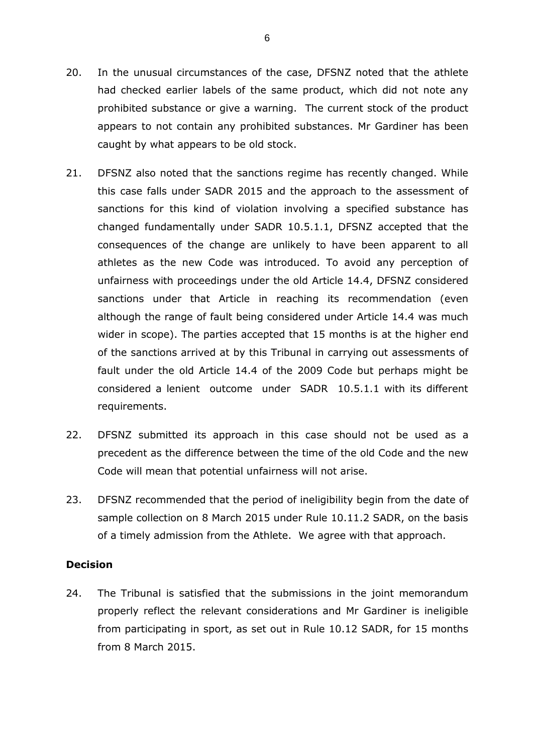- 20. In the unusual circumstances of the case, DFSNZ noted that the athlete had checked earlier labels of the same product, which did not note any prohibited substance or give a warning. The current stock of the product appears to not contain any prohibited substances. Mr Gardiner has been caught by what appears to be old stock.
- 21. DFSNZ also noted that the sanctions regime has recently changed. While this case falls under SADR 2015 and the approach to the assessment of sanctions for this kind of violation involving a specified substance has changed fundamentally under SADR 10.5.1.1, DFSNZ accepted that the consequences of the change are unlikely to have been apparent to all athletes as the new Code was introduced. To avoid any perception of unfairness with proceedings under the old Article 14.4, DFSNZ considered sanctions under that Article in reaching its recommendation (even although the range of fault being considered under Article 14.4 was much wider in scope). The parties accepted that 15 months is at the higher end of the sanctions arrived at by this Tribunal in carrying out assessments of fault under the old Article 14.4 of the 2009 Code but perhaps might be considered a lenient outcome under SADR 10.5.1.1 with its different requirements.
- 22. DFSNZ submitted its approach in this case should not be used as a precedent as the difference between the time of the old Code and the new Code will mean that potential unfairness will not arise.
- 23. DFSNZ recommended that the period of ineligibility begin from the date of sample collection on 8 March 2015 under Rule 10.11.2 SADR, on the basis of a timely admission from the Athlete. We agree with that approach.

#### **Decision**

24. The Tribunal is satisfied that the submissions in the joint memorandum properly reflect the relevant considerations and Mr Gardiner is ineligible from participating in sport, as set out in Rule 10.12 SADR, for 15 months from 8 March 2015.